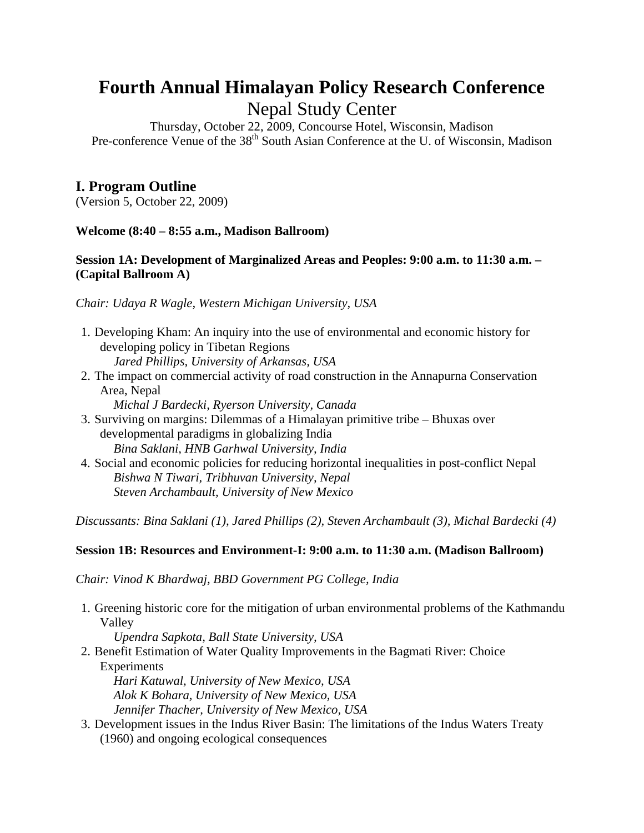# **Fourth Annual Himalayan Policy Research Conference**  Nepal Study Center

Thursday, October 22, 2009, Concourse Hotel, Wisconsin, Madison Pre-conference Venue of the 38<sup>th</sup> South Asian Conference at the U. of Wisconsin, Madison

# **I. Program Outline**

(Version 5, October 22, 2009)

## **Welcome (8:40 – 8:55 a.m., Madison Ballroom)**

#### **Session 1A: Development of Marginalized Areas and Peoples: 9:00 a.m. to 11:30 a.m. – (Capital Ballroom A)**

*Chair: Udaya R Wagle, Western Michigan University, USA* 

- 1. Developing Kham: An inquiry into the use of environmental and economic history for developing policy in Tibetan Regions
	- *Jared Phillips, University of Arkansas, USA*
- 2. The impact on commercial activity of road construction in the Annapurna Conservation Area, Nepal

*Michal J Bardecki, Ryerson University, Canada* 

- 3. Surviving on margins: Dilemmas of a Himalayan primitive tribe Bhuxas over developmental paradigms in globalizing India *Bina Saklani, HNB Garhwal University, India*
- 4. Social and economic policies for reducing horizontal inequalities in post-conflict Nepal *Bishwa N Tiwari, Tribhuvan University, Nepal Steven Archambault, University of New Mexico*

*Discussants: Bina Saklani (1), Jared Phillips (2), Steven Archambault (3), Michal Bardecki (4)* 

## **Session 1B: Resources and Environment-I: 9:00 a.m. to 11:30 a.m. (Madison Ballroom)**

*Chair: Vinod K Bhardwaj, BBD Government PG College, India* 

1. Greening historic core for the mitigation of urban environmental problems of the Kathmandu Valley

*Upendra Sapkota, Ball State University, USA* 

2. Benefit Estimation of Water Quality Improvements in the Bagmati River: Choice **Experiments** 

*Hari Katuwal, University of New Mexico, USA Alok K Bohara, University of New Mexico, USA Jennifer Thacher, University of New Mexico, USA* 

3. Development issues in the Indus River Basin: The limitations of the Indus Waters Treaty (1960) and ongoing ecological consequences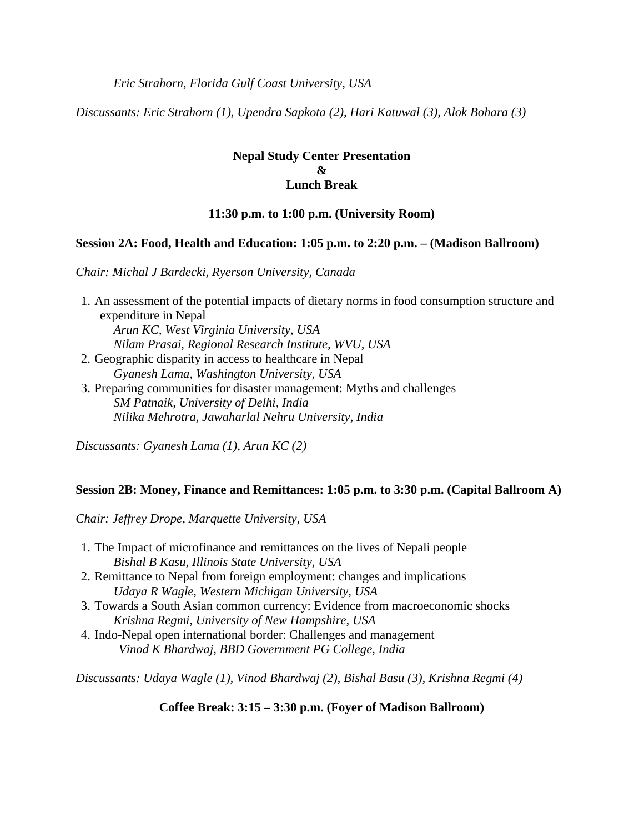*Eric Strahorn, Florida Gulf Coast University, USA* 

*Discussants: Eric Strahorn (1), Upendra Sapkota (2), Hari Katuwal (3), Alok Bohara (3)* 

## **Nepal Study Center Presentation**   $\mathbf{R}_{I}$ **Lunch Break**

## **11:30 p.m. to 1:00 p.m. (University Room)**

#### **Session 2A: Food, Health and Education: 1:05 p.m. to 2:20 p.m. – (Madison Ballroom)**

*Chair: Michal J Bardecki, Ryerson University, Canada* 

1. An assessment of the potential impacts of dietary norms in food consumption structure and expenditure in Nepal *Arun KC, West Virginia University, USA Nilam Prasai, Regional Research Institute, WVU, USA*  2. Geographic disparity in access to healthcare in Nepal *Gyanesh Lama, Washington University, USA*  3. Preparing communities for disaster management: Myths and challenges *SM Patnaik, University of Delhi, India Nilika Mehrotra, Jawaharlal Nehru University, India* 

*Discussants: Gyanesh Lama (1), Arun KC (2)* 

#### **Session 2B: Money, Finance and Remittances: 1:05 p.m. to 3:30 p.m. (Capital Ballroom A)**

*Chair: Jeffrey Drope, Marquette University, USA* 

- 1. The Impact of microfinance and remittances on the lives of Nepali people *Bishal B Kasu, Illinois State University, USA*
- 2. Remittance to Nepal from foreign employment: changes and implications *Udaya R Wagle, Western Michigan University, USA*
- 3. Towards a South Asian common currency: Evidence from macroeconomic shocks *Krishna Regmi, University of New Hampshire, USA*
- 4. Indo-Nepal open international border: Challenges and management *Vinod K Bhardwaj, BBD Government PG College, India*

*Discussants: Udaya Wagle (1), Vinod Bhardwaj (2), Bishal Basu (3), Krishna Regmi (4)* 

**Coffee Break: 3:15 – 3:30 p.m. (Foyer of Madison Ballroom)**